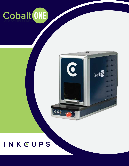



## INKCUPS